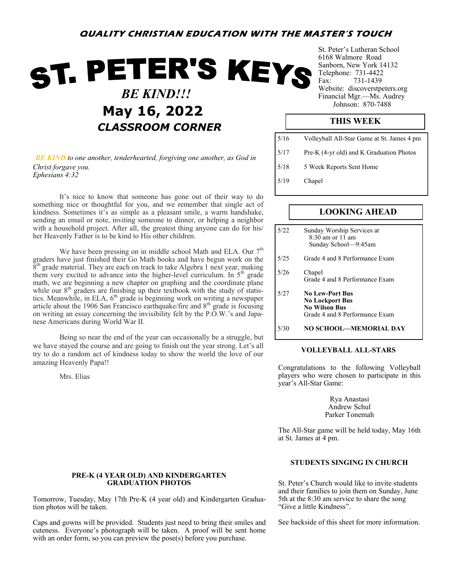# **QUALITY CHRISTIAN EDUCATION WITH THE MASTER'S TOUCH**

# ST. PETER'S KEYS  *BE KIND!!!* Johnson: 870-<sup>7488</sup> **May 16, 2022** *CLASSROOM CORNER*

*BE KIND to one another, tenderhearted, forgiving one another, as God in Christ forgave you. Ephesians 4:32*

It's nice to know that someone has gone out of their way to do something nice or thoughtful for you, and we remember that single act of kindness. Sometimes it's as simple as a pleasant smile, a warm handshake, sending an email or note, inviting someone to dinner, or helping a neighbor with a household project. After all, the greatest thing anyone can do for his/ her Heavenly Father is to be kind to His other children.

We have been pressing on in middle school Math and ELA. Our  $7<sup>th</sup>$ graders have just finished their Go Math books and have begun work on the  $8<sup>th</sup>$  grade material. They are each on track to take Algebra 1 next year, making them very excited to advance into the higher-level curriculum. In  $5<sup>th</sup>$  grade math, we are beginning a new chapter on graphing and the coordinate plane while our  $8<sup>th</sup>$  graders are finishing up their textbook with the study of statistics. Meanwhile, in ELA,  $6<sup>th</sup>$  grade is beginning work on writing a newspaper article about the 1906 San Francisco earthquake/fire and  $8<sup>th</sup>$  grade is focusing on writing an essay concerning the invisibility felt by the P.O.W.'s and Japanese Americans during World War II.

Being so near the end of the year can occasionally be a struggle, but we have stayed the course and are going to finish out the year strong. Let's all try to do a random act of kindness today to show the world the love of our amazing Heavenly Papa!!

Mrs. Elias

### **PRE-K (4 YEAR OLD) AND KINDERGARTEN GRADUATION PHOTOS**

Tomorrow, Tuesday, May 17th Pre-K (4 year old) and Kindergarten Graduation photos will be taken.

Caps and gowns will be provided. Students just need to bring their smiles and cuteness. Everyone's photograph will be taken. A proof will be sent home with an order form, so you can preview the pose(s) before you purchase.

St. Peter's Lutheran School 6168 Walmore Road Sanborn, New York 14132 Telephone: 731-4422 Fax: 731-1439 Website: discoverstpeters.org Financial Mgr.—Ms. Audrey

# **THIS WEEK**

| 5/16 | Volleyball All-Star Game at St. James 4 pm |
|------|--------------------------------------------|
| 5/17 | Pre-K (4-yr old) and K Graduation Photos   |
| 5/18 | 5 Week Reports Sent Home                   |
| 5/19 | Chapel                                     |

## **LOOKING AHEAD**

| 5/22 | Sunday Worship Services at<br>$8:30$ am or 11 am<br>Sunday School-9:45am                                   |
|------|------------------------------------------------------------------------------------------------------------|
| 5/25 | Grade 4 and 8 Performance Exam                                                                             |
| 5/26 | Chapel<br>Grade 4 and 8 Performance Exam                                                                   |
| 5/27 | <b>No Lew-Port Bus</b><br><b>No Lockport Bus</b><br><b>No Wilson Bus</b><br>Grade 4 and 8 Performance Exam |
| 5/30 | NO SCHOOL—MEMORIAL DAY                                                                                     |

#### **VOLLEYBALL ALL-STARS**

Congratulations to the following Volleyball players who were chosen to participate in this year's All-Star Game:

> Rya Anastasi Andrew Schul Parker Tonemah

The All-Star game will be held today, May 16th at St. James at 4 pm.

#### **STUDENTS SINGING IN CHURCH**

St. Peter's Church would like to invite students and their families to join them on Sunday, June 5th at the 8:30 am service to share the song "Give a little Kindness".

See backside of this sheet for more information.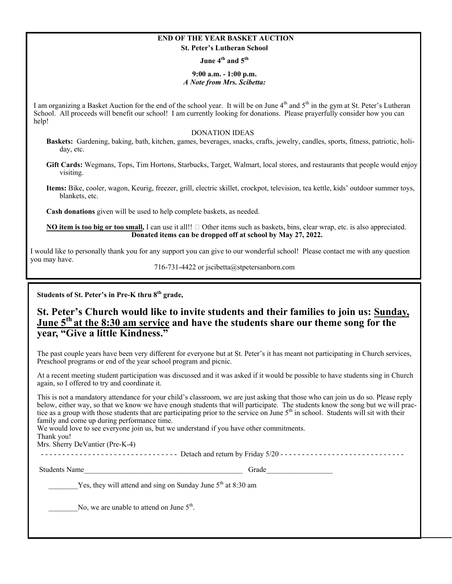#### **END OF THE YEAR BASKET AUCTION St. Peter's Lutheran School**

**June 4th and 5th** 

#### **9:00 a.m. - 1:00 p.m.**  *A Note from Mrs. Scibetta:*

I am organizing a Basket Auction for the end of the school year. It will be on June 4<sup>th</sup> and 5<sup>th</sup> in the gym at St. Peter's Lutheran School. All proceeds will benefit our school! I am currently looking for donations. Please prayerfully consider how you can help!

#### DONATION IDEAS

**Baskets:** Gardening, baking, bath, kitchen, games, beverages, snacks, crafts, jewelry, candles, sports, fitness, patriotic, holiday, etc.

**Gift Cards:** Wegmans, Tops, Tim Hortons, Starbucks, Target, Walmart, local stores, and restaurants that people would enjoy visiting.

**Items:** Bike, cooler, wagon, Keurig, freezer, grill, electric skillet, crockpot, television, tea kettle, kids' outdoor summer toys, blankets, etc.

**Cash donations** given will be used to help complete baskets, as needed.

**NO item is too big or too small,** I can use it all!! □ Other items such as baskets, bins, clear wrap, etc. is also appreciated. **Donated items can be dropped off at school by May 27, 2022.** 

I would like to personally thank you for any support you can give to our wonderful school! Please contact me with any question you may have.

716-731-4422 or jscibetta@stpetersanborn.com

**Students of St. Peter's in Pre-K thru 8th grade,**

# **St. Peter's Church would like to invite students and their families to join us: Sunday, June 5th at the 8:30 am service and have the students share our theme song for the year, "Give a little Kindness."**

The past couple years have been very different for everyone but at St. Peter's it has meant not participating in Church services, Preschool programs or end of the year school program and picnic.

At a recent meeting student participation was discussed and it was asked if it would be possible to have students sing in Church again, so I offered to try and coordinate it.

This is not a mandatory attendance for your child's classroom, we are just asking that those who can join us do so. Please reply below, either way, so that we know we have enough students that will participate. The students know the song but we will practice as a group with those students that are participating prior to the service on June  $5<sup>th</sup>$  in school. Students will sit with their family and come up during performance time.

We would love to see everyone join us, but we understand if you have other commitments.

Thank you! Mrs. Sherry DeVantier (Pre-K-4)

- - - - - - - - - - - - - - - - - - - - - - - - - - - - - - - - Detach and return by Friday 5/20 - - - - - - - - - - - - - - - - - - - - - - - - - - - - -

Students Name and the students of the students of the students of the students of the students of the students of the studies of the studies of the studies of the studies of the studies of the studies of the studies of the

Yes, they will attend and sing on Sunday June  $5<sup>th</sup>$  at 8:30 am

No, we are unable to attend on June  $5<sup>th</sup>$ .